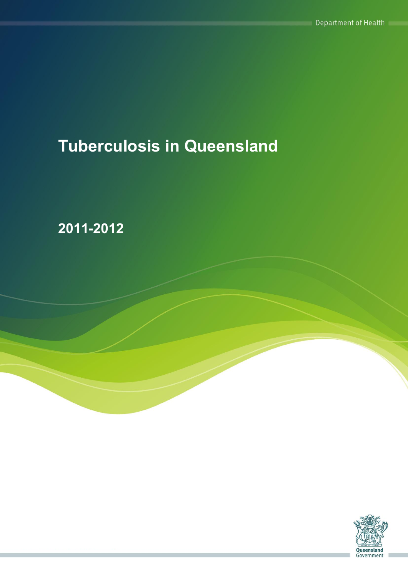# **Tuberculosis in Queensland**

**2011-2012**

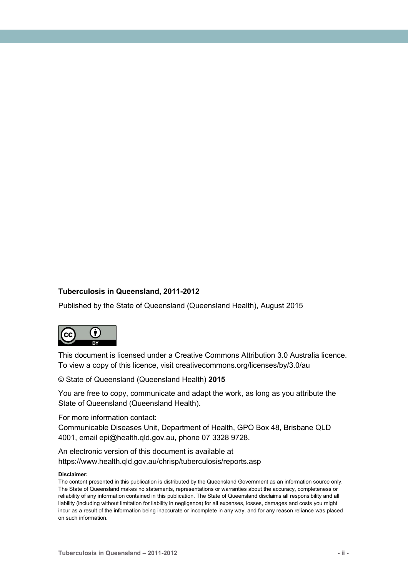#### **Tuberculosis in Queensland, 2011-2012**

Published by the State of Queensland (Queensland Health), August 2015



This document is licensed under a Creative Commons Attribution 3.0 Australia licence. To view a copy of this licence, visit creativecommons.org/licenses/by/3.0/au

© State of Queensland (Queensland Health) **2015**

You are free to copy, communicate and adapt the work, as long as you attribute the State of Queensland (Queensland Health).

For more information contact:

Communicable Diseases Unit, Department of Health, GPO Box 48, Brisbane QLD 4001, email epi@health.qld.gov.au, phone 07 3328 9728.

An electronic version of this document is available at https://www.health.qld.gov.au/chrisp/tuberculosis/reports.asp

#### **Disclaimer:**

The content presented in this publication is distributed by the Queensland Government as an information source only. The State of Queensland makes no statements, representations or warranties about the accuracy, completeness or reliability of any information contained in this publication. The State of Queensland disclaims all responsibility and all liability (including without limitation for liability in negligence) for all expenses, losses, damages and costs you might incur as a result of the information being inaccurate or incomplete in any way, and for any reason reliance was placed on such information.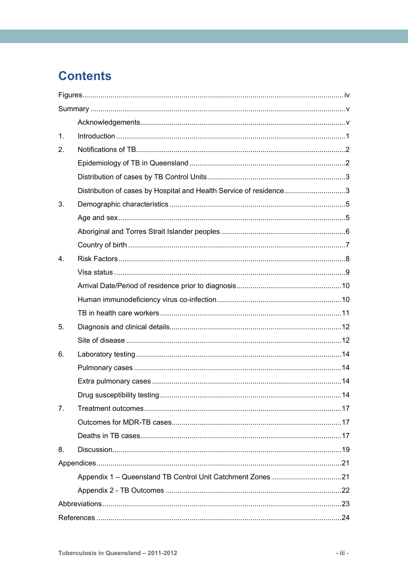## **Contents**

| $\mathbf{1}$ .   |                                                                    |  |
|------------------|--------------------------------------------------------------------|--|
| 2.               |                                                                    |  |
|                  |                                                                    |  |
|                  |                                                                    |  |
|                  | Distribution of cases by Hospital and Health Service of residence3 |  |
| 3.               |                                                                    |  |
|                  |                                                                    |  |
|                  |                                                                    |  |
|                  |                                                                    |  |
| $\overline{4}$ . |                                                                    |  |
|                  |                                                                    |  |
|                  |                                                                    |  |
|                  |                                                                    |  |
|                  |                                                                    |  |
| 5.               |                                                                    |  |
|                  |                                                                    |  |
| 6.               |                                                                    |  |
|                  |                                                                    |  |
|                  |                                                                    |  |
|                  |                                                                    |  |
| 7 <sub>1</sub>   |                                                                    |  |
|                  |                                                                    |  |
|                  |                                                                    |  |
| 8.               |                                                                    |  |
|                  |                                                                    |  |
|                  |                                                                    |  |
|                  |                                                                    |  |
|                  |                                                                    |  |
|                  |                                                                    |  |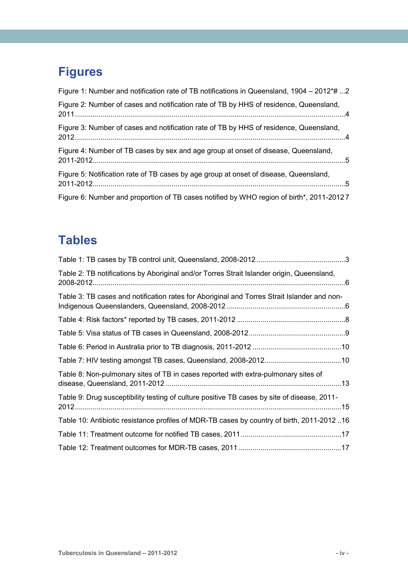## <span id="page-3-0"></span>**Figures**

| Figure 1: Number and notification rate of TB notifications in Queensland, 1904 – 2012*# 2 |  |
|-------------------------------------------------------------------------------------------|--|
| Figure 2: Number of cases and notification rate of TB by HHS of residence, Queensland,    |  |
| Figure 3: Number of cases and notification rate of TB by HHS of residence, Queensland,    |  |
| Figure 4: Number of TB cases by sex and age group at onset of disease, Queensland,        |  |
| Figure 5: Notification rate of TB cases by age group at onset of disease, Queensland,     |  |
| Figure 6: Number and proportion of TB cases notified by WHO region of birth*, 2011-20127  |  |

## **Tables**

| Table 2: TB notifications by Aboriginal and/or Torres Strait Islander origin, Queensland,   |  |
|---------------------------------------------------------------------------------------------|--|
| Table 3: TB cases and notification rates for Aboriginal and Torres Strait Islander and non- |  |
|                                                                                             |  |
|                                                                                             |  |
|                                                                                             |  |
|                                                                                             |  |
| Table 8: Non-pulmonary sites of TB in cases reported with extra-pulmonary sites of          |  |
| Table 9: Drug susceptibility testing of culture positive TB cases by site of disease, 2011- |  |
| Table 10: Antibiotic resistance profiles of MDR-TB cases by country of birth, 2011-201216   |  |
|                                                                                             |  |
|                                                                                             |  |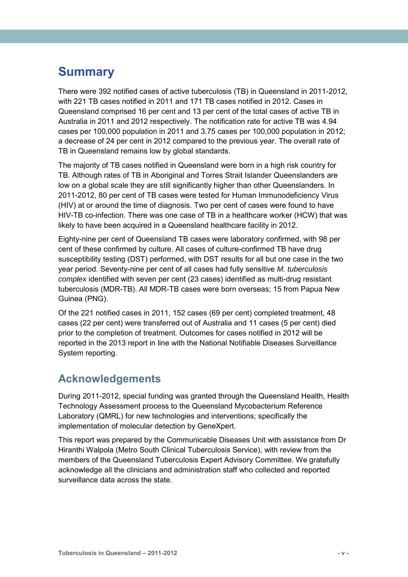## <span id="page-4-0"></span>**Summary**

There were 392 notified cases of active tuberculosis (TB) in Queensland in 2011-2012, with 221 TB cases notified in 2011 and 171 TB cases notified in 2012. Cases in Queensland comprised 16 per cent and 13 per cent of the total cases of active TB in Australia in 2011 and 2012 respectively. The notification rate for active TB was 4.94 cases per 100,000 population in 2011 and 3.75 cases per 100,000 population in 2012; a decrease of 24 per cent in 2012 compared to the previous year. The overall rate of TB in Queensland remains low by global standards.

The majority of TB cases notified in Queensland were born in a high risk country for TB. Although rates of TB in Aboriginal and Torres Strait Islander Queenslanders are low on a global scale they are still significantly higher than other Queenslanders. In 2011-2012, 80 per cent of TB cases were tested for Human Immunodeficiency Virus (HIV) at or around the time of diagnosis. Two per cent of cases were found to have HIV-TB co-infection. There was one case of TB in a healthcare worker (HCW) that was likely to have been acquired in a Queensland healthcare facility in 2012.

Eighty-nine per cent of Queensland TB cases were laboratory confirmed, with 98 per cent of these confirmed by culture. All cases of culture-confirmed TB have drug susceptibility testing (DST) performed, with DST results for all but one case in the two year period. Seventy-nine per cent of all cases had fully sensitive *M. tuberculosis complex* identified with seven per cent (23 cases) identified as multi-drug resistant tuberculosis (MDR-TB). All MDR-TB cases were born overseas; 15 from Papua New Guinea (PNG).

Of the 221 notified cases in 2011, 152 cases (69 per cent) completed treatment, 48 cases (22 per cent) were transferred out of Australia and 11 cases (5 per cent) died prior to the completion of treatment. Outcomes for cases notified in 2012 will be reported in the 2013 report in line with the National Notifiable Diseases Surveillance System reporting.

### <span id="page-4-1"></span>**Acknowledgements**

During 2011-2012, special funding was granted through the Queensland Health, Health Technology Assessment process to the Queensland Mycobacterium Reference Laboratory (QMRL) for new technologies and interventions; specifically the implementation of molecular detection by GeneXpert.

This report was prepared by the Communicable Diseases Unit with assistance from Dr Hiranthi Walpola (Metro South Clinical Tuberculosis Service), with review from the members of the Queensland Tuberculosis Expert Advisory Committee. We gratefully acknowledge all the clinicians and administration staff who collected and reported surveillance data across the state.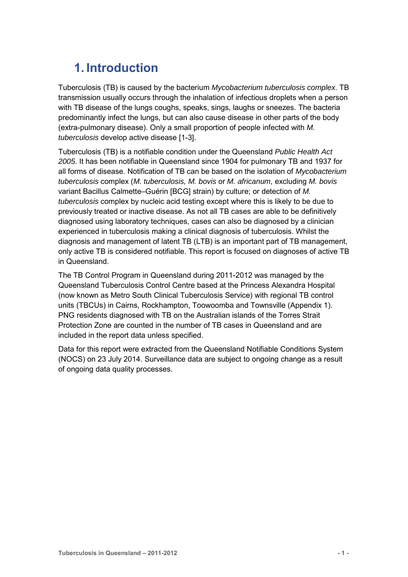## <span id="page-5-0"></span>**1. Introduction**

Tuberculosis (TB) is caused by the bacterium *Mycobacterium tuberculosis complex*. TB transmission usually occurs through the inhalation of infectious droplets when a person with TB disease of the lungs coughs, speaks, sings, laughs or sneezes. The bacteria predominantly infect the lungs, but can also cause disease in other parts of the body (extra-pulmonary disease). Only a small proportion of people infected with *M. tuberculosis* develop active disease [1-3].

Tuberculosis (TB) is a notifiable condition under the Queensland *Public Health Act 2005*. It has been notifiable in Queensland since 1904 for pulmonary TB and 1937 for all forms of disease. Notification of TB can be based on the isolation of *Mycobacterium tuberculosis* complex (*M. tuberculosis, M. bovis* or *M. africanum,* excluding *M. bovis* variant Bacillus Calmette–Guérin [BCG] strain) by culture; or detection of *M. tuberculosis* complex by nucleic acid testing except where this is likely to be due to previously treated or inactive disease. As not all TB cases are able to be definitively diagnosed using laboratory techniques, cases can also be diagnosed by a clinician experienced in tuberculosis making a clinical diagnosis of tuberculosis. Whilst the diagnosis and management of latent TB (LTB) is an important part of TB management, only active TB is considered notifiable. This report is focused on diagnoses of active TB in Queensland.

The TB Control Program in Queensland during 2011-2012 was managed by the Queensland Tuberculosis Control Centre based at the Princess Alexandra Hospital (now known as Metro South Clinical Tuberculosis Service) with regional TB control units (TBCUs) in Cairns, Rockhampton, Toowoomba and Townsville (Appendix 1). PNG residents diagnosed with TB on the Australian islands of the Torres Strait Protection Zone are counted in the number of TB cases in Queensland and are included in the report data unless specified.

Data for this report were extracted from the Queensland Notifiable Conditions System (NOCS) on 23 July 2014. Surveillance data are subject to ongoing change as a result of ongoing data quality processes.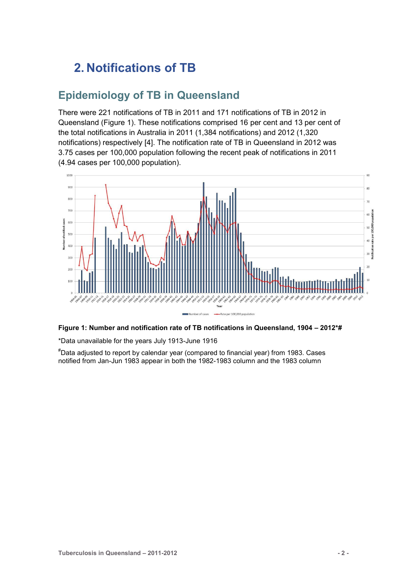## <span id="page-6-0"></span>**2. Notifications of TB**

### <span id="page-6-1"></span>**Epidemiology of TB in Queensland**

There were 221 notifications of TB in 2011 and 171 notifications of TB in 2012 in Queensland (Figure 1). These notifications comprised 16 per cent and 13 per cent of the total notifications in Australia in 2011 (1,384 notifications) and 2012 (1,320 notifications) respectively [4]. The notification rate of TB in Queensland in 2012 was 3.75 cases per 100,000 population following the recent peak of notifications in 2011 (4.94 cases per 100,000 population).



<span id="page-6-2"></span>

\*Data unavailable for the years July 1913-June 1916

#Data adjusted to report by calendar year (compared to financial year) from 1983. Cases notified from Jan-Jun 1983 appear in both the 1982-1983 column and the 1983 column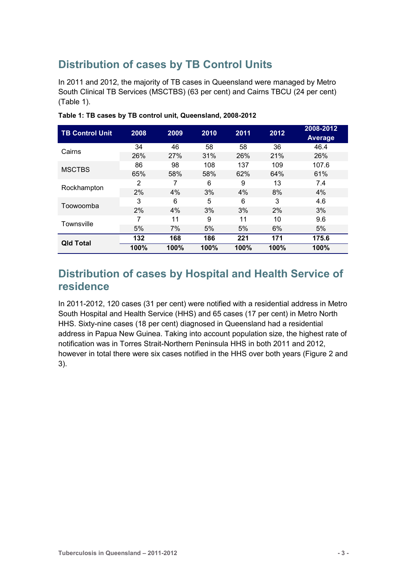## <span id="page-7-0"></span>**Distribution of cases by TB Control Units**

In 2011 and 2012, the majority of TB cases in Queensland were managed by Metro South Clinical TB Services (MSCTBS) (63 per cent) and Cairns TBCU (24 per cent) (Table 1).

| <b>TB Control Unit</b> | 2008 | 2009       | 2010 | 2011 | 2012 | 2008-2012<br><b>Average</b> |
|------------------------|------|------------|------|------|------|-----------------------------|
| Cairns                 | 34   | 46         | 58   | 58   | 36   | 46.4                        |
|                        | 26%  | <b>27%</b> | 31%  | 26%  | 21%  | 26%                         |
| <b>MSCTBS</b>          | 86   | 98         | 108  | 137  | 109  | 107.6                       |
|                        | 65%  | 58%        | 58%  | 62%  | 64%  | 61%                         |
|                        | 2    | 7          | 6    | 9    | 13   | 7.4                         |
| Rockhampton            | 2%   | 4%         | 3%   | 4%   | 8%   | 4%                          |
| Toowoomba              | 3    | 6          | 5    | 6    | 3    | 4.6                         |
|                        | 2%   | 4%         | 3%   | 3%   | 2%   | 3%                          |
| Townsville             | 7    | 11         | 9    | 11   | 10   | 9.6                         |
|                        | 5%   | 7%         | 5%   | 5%   | 6%   | 5%                          |
| <b>Qld Total</b>       | 132  | 168        | 186  | 221  | 171  | 175.6                       |
|                        | 100% | 100%       | 100% | 100% | 100% | 100%                        |

<span id="page-7-2"></span>**Table 1: TB cases by TB control unit, Queensland, 2008-2012** 

### <span id="page-7-1"></span>**Distribution of cases by Hospital and Health Service of residence**

In 2011-2012, 120 cases (31 per cent) were notified with a residential address in Metro South Hospital and Health Service (HHS) and 65 cases (17 per cent) in Metro North HHS. Sixty-nine cases (18 per cent) diagnosed in Queensland had a residential address in Papua New Guinea. Taking into account population size, the highest rate of notification was in Torres Strait-Northern Peninsula HHS in both 2011 and 2012, however in total there were six cases notified in the HHS over both years (Figure 2 and 3).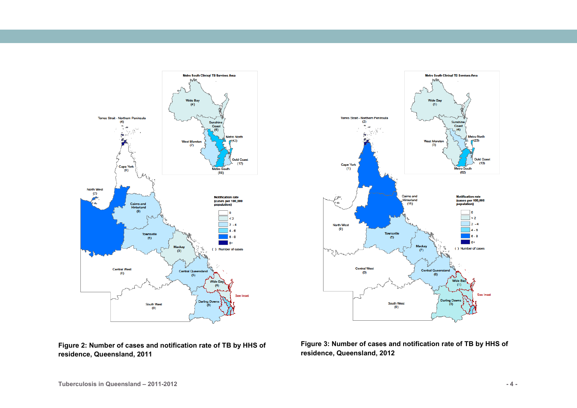



<span id="page-8-0"></span>**Figure 2: Number of cases and notification rate of TB by HHS of residence, Queensland, 2011**

<span id="page-8-1"></span>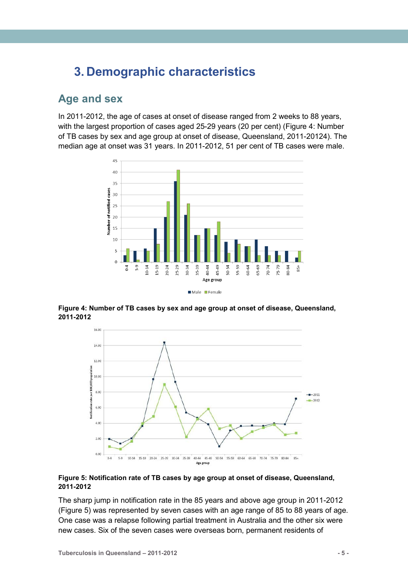## <span id="page-9-0"></span>**3. Demographic characteristics**

### <span id="page-9-1"></span>**Age and sex**

In 2011-2012, the age of cases at onset of disease ranged from 2 weeks to 88 years, with the largest proportion of cases aged 25-29 years (20 per cent) [\(Figure 4: Number](#page-9-2)  [of TB cases by sex and age group at onset of disease, Queensland, 2011-20124](#page-9-2)). The median age at onset was 31 years. In 2011-2012, 51 per cent of TB cases were male.



<span id="page-9-2"></span>**Figure 4: Number of TB cases by sex and age group at onset of disease, Queensland, 2011-2012** 



#### <span id="page-9-3"></span>**Figure 5: Notification rate of TB cases by age group at onset of disease, Queensland, 2011-2012**

The sharp jump in notification rate in the 85 years and above age group in 2011-2012 (Figure 5) was represented by seven cases with an age range of 85 to 88 years of age. One case was a relapse following partial treatment in Australia and the other six were new cases. Six of the seven cases were overseas born, permanent residents of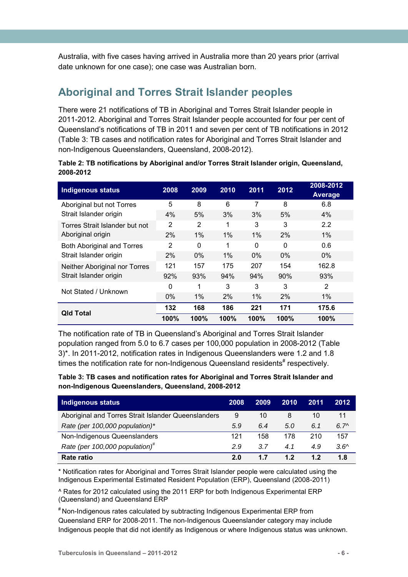Australia, with five cases having arrived in Australia more than 20 years prior (arrival date unknown for one case); one case was Australian born.

## <span id="page-10-0"></span>**Aboriginal and Torres Strait Islander peoples**

There were 21 notifications of TB in Aboriginal and Torres Strait Islander people in 2011-2012. Aboriginal and Torres Strait Islander people accounted for four per cent of Queensland's notifications of TB in 2011 and seven per cent of TB notifications in 2012 [\(Table 3: TB cases and notification rates for Aboriginal and Torres Strait Islander and](#page-10-2)  [non-Indigenous Queenslanders, Queensland, 2008-2012\)](#page-10-2).

<span id="page-10-1"></span>

| Table 2: TB notifications by Aboriginal and/or Torres Strait Islander origin, Queensland, |  |  |
|-------------------------------------------------------------------------------------------|--|--|
| 2008-2012                                                                                 |  |  |

| <b>Indigenous status</b>          | 2008           | 2009     | 2010  | 2011  | 2012  | 2008-2012<br>Average |
|-----------------------------------|----------------|----------|-------|-------|-------|----------------------|
| Aboriginal but not Torres         | 5              | 8        | 6     | 7     | 8     | 6.8                  |
| Strait Islander origin            | 4%             | 5%       | 3%    | 3%    | 5%    | 4%                   |
| Torres Strait Islander but not    | $\overline{2}$ | 2        | 1     | 3     | 3     | 2.2                  |
| Aboriginal origin                 | 2%             | 1%       | $1\%$ | $1\%$ | 2%    | $1\%$                |
| <b>Both Aboriginal and Torres</b> | 2              | $\Omega$ | 1     | 0     | 0     | 0.6                  |
| Strait Islander origin            | 2%             | $0\%$    | $1\%$ | $0\%$ | $0\%$ | $0\%$                |
| Neither Aboriginal nor Torres     | 121            | 157      | 175   | 207   | 154   | 162.8                |
| Strait Islander origin            | 92%            | 93%      | 94%   | 94%   | 90%   | 93%                  |
| Not Stated / Unknown              | $\Omega$       | 1        | 3     | 3     | 3     | 2                    |
|                                   | $0\%$          | 1%       | 2%    | 1%    | 2%    | 1%                   |
| <b>Qld Total</b>                  | 132            | 168      | 186   | 221   | 171   | 175.6                |
|                                   | 100%           | 100%     | 100%  | 100%  | 100%  | 100%                 |

The notification rate of TB in Queensland's Aboriginal and Torres Strait Islander population ranged from 5.0 to 6.7 cases per 100,000 population in 2008-2012 (Table 3)\*. In 2011-2012, notification rates in Indigenous Queenslanders were 1.2 and 1.8 times the notification rate for non-Indigenous Queensland residents<sup>#</sup> respectively.

<span id="page-10-2"></span>**Table 3: TB cases and notification rates for Aboriginal and Torres Strait Islander and non-Indigenous Queenslanders, Queensland, 2008-2012**

| Indigenous status                                   | 2008 | 2009 | 2010 | 2011 | 2012          |
|-----------------------------------------------------|------|------|------|------|---------------|
| Aboriginal and Torres Strait Islander Queenslanders | 9    | 10   | 8    | 10   | 11            |
| Rate (per 100,000 population)*                      | 5.9  | 6.4  | 5.0  | 6.1  | $6.7^{\circ}$ |
| Non-Indigenous Queenslanders                        | 121  | 158  | 178  | 210  | 157           |
| Rate (per 100,000 population) <sup>#</sup>          | 29   | 3.7  | 4.1  | 4.9  | $3.6^{\circ}$ |
| Rate ratio                                          | 2.0  | 1.7  | 1.2  | 12   | 1.8           |

\* Notification rates for Aboriginal and Torres Strait Islander people were calculated using the Indigenous Experimental Estimated Resident Population (ERP), Queensland (2008-2011)

^ Rates for 2012 calculated using the 2011 ERP for both Indigenous Experimental ERP (Queensland) and Queensland ERP

# Non-Indigenous rates calculated by subtracting Indigenous Experimental ERP from Queensland ERP for 2008-2011. The non-Indigenous Queenslander category may include Indigenous people that did not identify as Indigenous or where Indigenous status was unknown.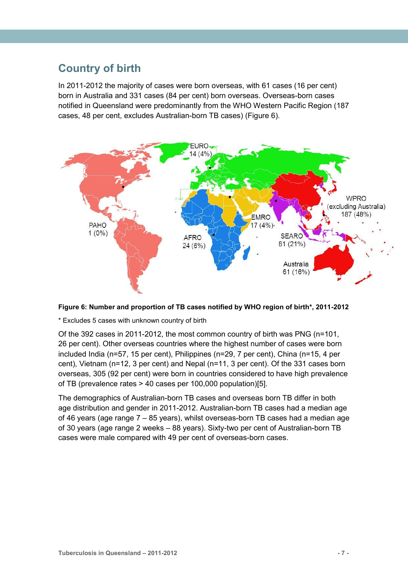### <span id="page-11-0"></span>**Country of birth**

In 2011-2012 the majority of cases were born overseas, with 61 cases (16 per cent) born in Australia and 331 cases (84 per cent) born overseas. Overseas-born cases notified in Queensland were predominantly from the WHO Western Pacific Region (187 cases, 48 per cent, excludes Australian-born TB cases) (Figure 6).



<span id="page-11-1"></span>

\* Excludes 5 cases with unknown country of birth

Of the 392 cases in 2011-2012, the most common country of birth was PNG (n=101, 26 per cent). Other overseas countries where the highest number of cases were born included India (n=57, 15 per cent), Philippines (n=29, 7 per cent), China (n=15, 4 per cent), Vietnam (n=12, 3 per cent) and Nepal (n=11, 3 per cent). Of the 331 cases born overseas, 305 (92 per cent) were born in countries considered to have high prevalence of TB (prevalence rates > 40 cases per 100,000 population)[5].

The demographics of Australian-born TB cases and overseas born TB differ in both age distribution and gender in 2011-2012. Australian-born TB cases had a median age of 46 years (age range 7 – 85 years), whilst overseas-born TB cases had a median age of 30 years (age range 2 weeks – 88 years). Sixty-two per cent of Australian-born TB cases were male compared with 49 per cent of overseas-born cases.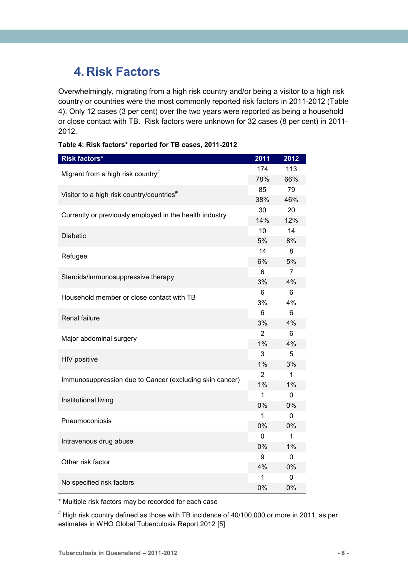## <span id="page-12-0"></span>**4. Risk Factors**

Overwhelmingly, migrating from a high risk country and/or being a visitor to a high risk country or countries were the most commonly reported risk factors in 2011-2012 (Table 4). Only 12 cases (3 per cent) over the two years were reported as being a household or close contact with TB. Risk factors were unknown for 32 cases (8 per cent) in 2011- 2012.

<span id="page-12-1"></span>**Table 4: Risk factors\* reported for TB cases, 2011-2012**

| 174<br>113<br>Migrant from a high risk country <sup>#</sup><br>66%<br>78%<br>79<br>85<br>Visitor to a high risk country/countries <sup>#</sup><br>38%<br>46%<br>30<br>20<br>Currently or previously employed in the health industry<br>12%<br>14%<br>14<br>10<br><b>Diabetic</b><br>5%<br>8%<br>14<br>8<br>Refugee<br>5%<br>6%<br>$\overline{7}$<br>6<br>Steroids/immunosuppressive therapy<br>3%<br>4%<br>6<br>6<br>Household member or close contact with TB<br>3%<br>4%<br>6<br>6<br>Renal failure<br>3%<br>4%<br>$\overline{2}$<br>6<br>Major abdominal surgery<br>1%<br>4%<br>3<br>5<br>HIV positive<br>1%<br>3%<br>$\overline{2}$<br>$\mathbf{1}$<br>Immunosuppression due to Cancer (excluding skin cancer)<br>1%<br>1%<br>1<br>$\Omega$<br>Institutional living<br>0%<br>0%<br>1<br>0<br>Pneumoconiosis<br>0%<br>0%<br>$\mathbf{1}$<br>0<br>Intravenous drug abuse<br>0%<br>1%<br>9<br>0<br>Other risk factor<br>4%<br>0%<br>1<br>0 | <b>Risk factors*</b>      | 2011 | 2012 |
|---------------------------------------------------------------------------------------------------------------------------------------------------------------------------------------------------------------------------------------------------------------------------------------------------------------------------------------------------------------------------------------------------------------------------------------------------------------------------------------------------------------------------------------------------------------------------------------------------------------------------------------------------------------------------------------------------------------------------------------------------------------------------------------------------------------------------------------------------------------------------------------------------------------------------------------------|---------------------------|------|------|
|                                                                                                                                                                                                                                                                                                                                                                                                                                                                                                                                                                                                                                                                                                                                                                                                                                                                                                                                             |                           |      |      |
|                                                                                                                                                                                                                                                                                                                                                                                                                                                                                                                                                                                                                                                                                                                                                                                                                                                                                                                                             |                           |      |      |
|                                                                                                                                                                                                                                                                                                                                                                                                                                                                                                                                                                                                                                                                                                                                                                                                                                                                                                                                             |                           |      |      |
|                                                                                                                                                                                                                                                                                                                                                                                                                                                                                                                                                                                                                                                                                                                                                                                                                                                                                                                                             |                           |      |      |
|                                                                                                                                                                                                                                                                                                                                                                                                                                                                                                                                                                                                                                                                                                                                                                                                                                                                                                                                             |                           |      |      |
|                                                                                                                                                                                                                                                                                                                                                                                                                                                                                                                                                                                                                                                                                                                                                                                                                                                                                                                                             |                           |      |      |
|                                                                                                                                                                                                                                                                                                                                                                                                                                                                                                                                                                                                                                                                                                                                                                                                                                                                                                                                             |                           |      |      |
|                                                                                                                                                                                                                                                                                                                                                                                                                                                                                                                                                                                                                                                                                                                                                                                                                                                                                                                                             |                           |      |      |
|                                                                                                                                                                                                                                                                                                                                                                                                                                                                                                                                                                                                                                                                                                                                                                                                                                                                                                                                             |                           |      |      |
|                                                                                                                                                                                                                                                                                                                                                                                                                                                                                                                                                                                                                                                                                                                                                                                                                                                                                                                                             |                           |      |      |
|                                                                                                                                                                                                                                                                                                                                                                                                                                                                                                                                                                                                                                                                                                                                                                                                                                                                                                                                             |                           |      |      |
|                                                                                                                                                                                                                                                                                                                                                                                                                                                                                                                                                                                                                                                                                                                                                                                                                                                                                                                                             |                           |      |      |
|                                                                                                                                                                                                                                                                                                                                                                                                                                                                                                                                                                                                                                                                                                                                                                                                                                                                                                                                             |                           |      |      |
|                                                                                                                                                                                                                                                                                                                                                                                                                                                                                                                                                                                                                                                                                                                                                                                                                                                                                                                                             |                           |      |      |
|                                                                                                                                                                                                                                                                                                                                                                                                                                                                                                                                                                                                                                                                                                                                                                                                                                                                                                                                             |                           |      |      |
|                                                                                                                                                                                                                                                                                                                                                                                                                                                                                                                                                                                                                                                                                                                                                                                                                                                                                                                                             |                           |      |      |
|                                                                                                                                                                                                                                                                                                                                                                                                                                                                                                                                                                                                                                                                                                                                                                                                                                                                                                                                             |                           |      |      |
|                                                                                                                                                                                                                                                                                                                                                                                                                                                                                                                                                                                                                                                                                                                                                                                                                                                                                                                                             |                           |      |      |
|                                                                                                                                                                                                                                                                                                                                                                                                                                                                                                                                                                                                                                                                                                                                                                                                                                                                                                                                             |                           |      |      |
|                                                                                                                                                                                                                                                                                                                                                                                                                                                                                                                                                                                                                                                                                                                                                                                                                                                                                                                                             |                           |      |      |
|                                                                                                                                                                                                                                                                                                                                                                                                                                                                                                                                                                                                                                                                                                                                                                                                                                                                                                                                             |                           |      |      |
|                                                                                                                                                                                                                                                                                                                                                                                                                                                                                                                                                                                                                                                                                                                                                                                                                                                                                                                                             |                           |      |      |
|                                                                                                                                                                                                                                                                                                                                                                                                                                                                                                                                                                                                                                                                                                                                                                                                                                                                                                                                             |                           |      |      |
|                                                                                                                                                                                                                                                                                                                                                                                                                                                                                                                                                                                                                                                                                                                                                                                                                                                                                                                                             |                           |      |      |
|                                                                                                                                                                                                                                                                                                                                                                                                                                                                                                                                                                                                                                                                                                                                                                                                                                                                                                                                             |                           |      |      |
|                                                                                                                                                                                                                                                                                                                                                                                                                                                                                                                                                                                                                                                                                                                                                                                                                                                                                                                                             |                           |      |      |
|                                                                                                                                                                                                                                                                                                                                                                                                                                                                                                                                                                                                                                                                                                                                                                                                                                                                                                                                             |                           |      |      |
|                                                                                                                                                                                                                                                                                                                                                                                                                                                                                                                                                                                                                                                                                                                                                                                                                                                                                                                                             |                           |      |      |
|                                                                                                                                                                                                                                                                                                                                                                                                                                                                                                                                                                                                                                                                                                                                                                                                                                                                                                                                             |                           |      |      |
| 0%<br>0%                                                                                                                                                                                                                                                                                                                                                                                                                                                                                                                                                                                                                                                                                                                                                                                                                                                                                                                                    | No specified risk factors |      |      |

\* Multiple risk factors may be recorded for each case

# High risk country defined as those with TB incidence of 40/100,000 or more in 2011, as per estimates in WHO Global Tuberculosis Report 2012 [5]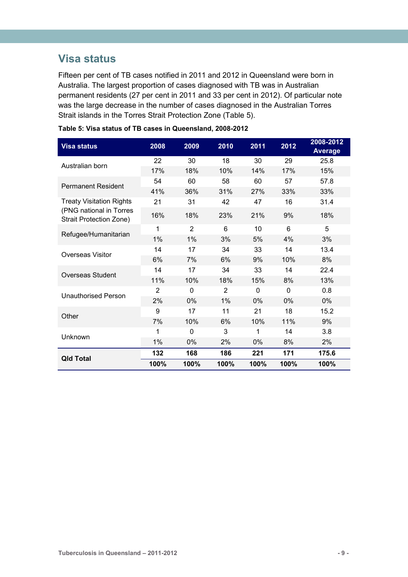### <span id="page-13-0"></span>**Visa status**

Fifteen per cent of TB cases notified in 2011 and 2012 in Queensland were born in Australia. The largest proportion of cases diagnosed with TB was in Australian permanent residents (27 per cent in 2011 and 33 per cent in 2012). Of particular note was the large decrease in the number of cases diagnosed in the Australian Torres Strait islands in the Torres Strait Protection Zone (Table 5).

| <b>Visa status</b>                                        | 2008           | 2009           | 2010           | 2011 | 2012     | 2008-2012<br><b>Average</b> |
|-----------------------------------------------------------|----------------|----------------|----------------|------|----------|-----------------------------|
| Australian born                                           | 22             | 30             | 18             | 30   | 29       | 25.8                        |
|                                                           | 17%            | 18%            | 10%            | 14%  | 17%      | 15%                         |
| <b>Permanent Resident</b>                                 | 54             | 60             | 58             | 60   | 57       | 57.8                        |
|                                                           | 41%            | 36%            | 31%            | 27%  | 33%      | 33%                         |
| <b>Treaty Visitation Rights</b>                           | 21             | 31             | 42             | 47   | 16       | 31.4                        |
| (PNG national in Torres<br><b>Strait Protection Zone)</b> | 16%            | 18%            | 23%            | 21%  | 9%       | 18%                         |
| Refugee/Humanitarian                                      | 1              | $\overline{2}$ | 6              | 10   | 6        | 5                           |
|                                                           | 1%             | 1%             | 3%             | 5%   | 4%       | 3%                          |
| Overseas Visitor                                          | 14             | 17             | 34             | 33   | 14       | 13.4                        |
|                                                           | 6%             | 7%             | 6%             | 9%   | 10%      | 8%                          |
| Overseas Student                                          | 14             | 17             | 34             | 33   | 14       | 22.4                        |
|                                                           | 11%            | 10%            | 18%            | 15%  | 8%       | 13%                         |
| <b>Unauthorised Person</b>                                | $\overline{2}$ | 0              | $\overline{2}$ | 0    | $\Omega$ | 0.8                         |
|                                                           | 2%             | 0%             | 1%             | 0%   | 0%       | 0%                          |
| Other                                                     | 9              | 17             | 11             | 21   | 18       | 15.2                        |
|                                                           | 7%             | 10%            | 6%             | 10%  | 11%      | 9%                          |
| Unknown                                                   | 1              | 0              | 3              | 1    | 14       | 3.8                         |
|                                                           | 1%             | 0%             | 2%             | 0%   | 8%       | 2%                          |
| <b>Qld Total</b>                                          | 132            | 168            | 186            | 221  | 171      | 175.6                       |
|                                                           | 100%           | 100%           | 100%           | 100% | 100%     | 100%                        |

<span id="page-13-1"></span>

|  |  |  | Table 5: Visa status of TB cases in Queensland, 2008-2012 |  |
|--|--|--|-----------------------------------------------------------|--|
|  |  |  |                                                           |  |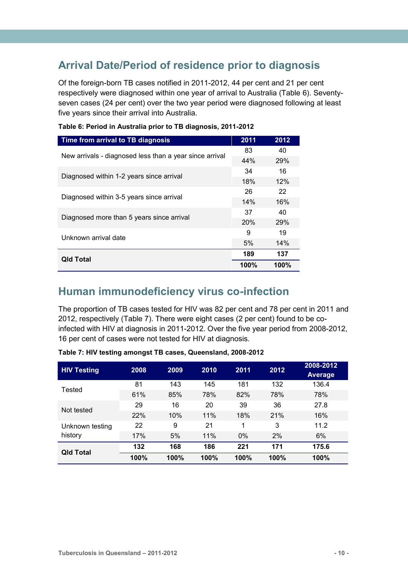## <span id="page-14-0"></span>**Arrival Date/Period of residence prior to diagnosis**

Of the foreign-born TB cases notified in 2011-2012, 44 per cent and 21 per cent respectively were diagnosed within one year of arrival to Australia (Table 6). Seventyseven cases (24 per cent) over the two year period were diagnosed following at least five years since their arrival into Australia.

| Time from arrival to TB diagnosis                       | 2011 | 2012       |
|---------------------------------------------------------|------|------------|
| New arrivals - diagnosed less than a year since arrival | 83   | 40         |
|                                                         | 44%  | <b>29%</b> |
| Diagnosed within 1-2 years since arrival                | 34   | 16         |
|                                                         | 18%  | 12%        |
| Diagnosed within 3-5 years since arrival                | 26   | 22         |
|                                                         | 14%  | 16%        |
|                                                         | 37   | 40         |
| Diagnosed more than 5 years since arrival               | 20%  | <b>29%</b> |
| Unknown arrival date                                    | 9    | 19         |
|                                                         | 5%   | 14%        |
|                                                         | 189  | 137        |
| <b>Qld Total</b>                                        | 100% | 100%       |

<span id="page-14-2"></span>

| Table 6: Period in Australia prior to TB diagnosis, 2011-2012 |
|---------------------------------------------------------------|
|---------------------------------------------------------------|

### <span id="page-14-1"></span>**Human immunodeficiency virus co-infection**

The proportion of TB cases tested for HIV was 82 per cent and 78 per cent in 2011 and 2012, respectively (Table 7). There were eight cases (2 per cent) found to be coinfected with HIV at diagnosis in 2011-2012. Over the five year period from 2008-2012, 16 per cent of cases were not tested for HIV at diagnosis.

| <b>HIV Testing</b> | 2008 | 2009 | 2010 | 2011  | 2012 | 2008-2012<br><b>Average</b> |
|--------------------|------|------|------|-------|------|-----------------------------|
| Tested             | 81   | 143  | 145  | 181   | 132  | 136.4                       |
|                    | 61%  | 85%  | 78%  | 82%   | 78%  | 78%                         |
| Not tested         | 29   | 16   | 20   | 39    | 36   | 27.8                        |
|                    | 22%  | 10%  | 11%  | 18%   | 21%  | 16%                         |
| Unknown testing    | 22   | 9    | 21   | 1     | 3    | 11.2                        |
| history            | 17%  | 5%   | 11%  | $0\%$ | 2%   | 6%                          |
| <b>Qld Total</b>   | 132  | 168  | 186  | 221   | 171  | 175.6                       |
|                    | 100% | 100% | 100% | 100%  | 100% | 100%                        |

<span id="page-14-3"></span>**Table 7: HIV testing amongst TB cases, Queensland, 2008-2012**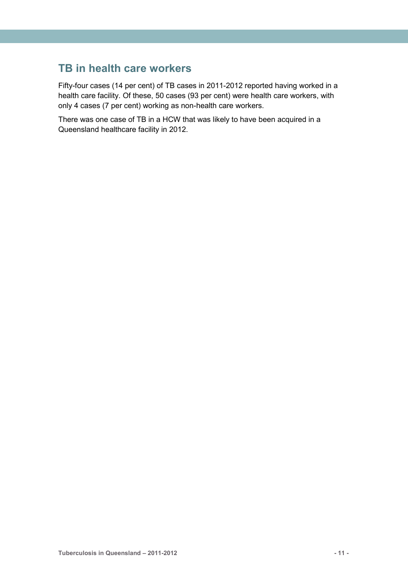### <span id="page-15-0"></span>**TB in health care workers**

Fifty-four cases (14 per cent) of TB cases in 2011-2012 reported having worked in a health care facility. Of these, 50 cases (93 per cent) were health care workers, with only 4 cases (7 per cent) working as non-health care workers.

There was one case of TB in a HCW that was likely to have been acquired in a Queensland healthcare facility in 2012.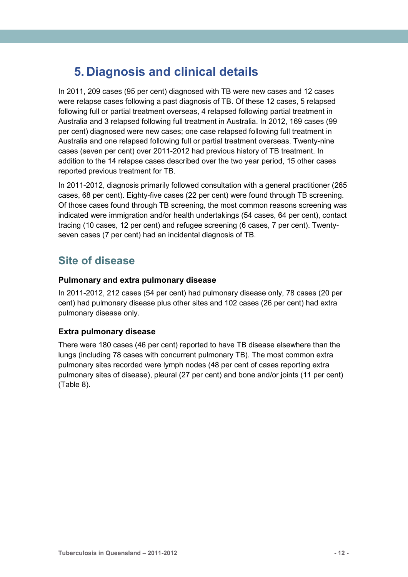## <span id="page-16-0"></span>**5. Diagnosis and clinical details**

In 2011, 209 cases (95 per cent) diagnosed with TB were new cases and 12 cases were relapse cases following a past diagnosis of TB. Of these 12 cases, 5 relapsed following full or partial treatment overseas, 4 relapsed following partial treatment in Australia and 3 relapsed following full treatment in Australia. In 2012, 169 cases (99 per cent) diagnosed were new cases; one case relapsed following full treatment in Australia and one relapsed following full or partial treatment overseas. Twenty-nine cases (seven per cent) over 2011-2012 had previous history of TB treatment. In addition to the 14 relapse cases described over the two year period, 15 other cases reported previous treatment for TB.

In 2011-2012, diagnosis primarily followed consultation with a general practitioner (265 cases, 68 per cent). Eighty-five cases (22 per cent) were found through TB screening. Of those cases found through TB screening, the most common reasons screening was indicated were immigration and/or health undertakings (54 cases, 64 per cent), contact tracing (10 cases, 12 per cent) and refugee screening (6 cases, 7 per cent). Twentyseven cases (7 per cent) had an incidental diagnosis of TB.

### <span id="page-16-1"></span>**Site of disease**

#### **Pulmonary and extra pulmonary disease**

In 2011-2012, 212 cases (54 per cent) had pulmonary disease only, 78 cases (20 per cent) had pulmonary disease plus other sites and 102 cases (26 per cent) had extra pulmonary disease only.

#### **Extra pulmonary disease**

There were 180 cases (46 per cent) reported to have TB disease elsewhere than the lungs (including 78 cases with concurrent pulmonary TB). The most common extra pulmonary sites recorded were lymph nodes (48 per cent of cases reporting extra pulmonary sites of disease), pleural (27 per cent) and bone and/or joints (11 per cent) (Table 8).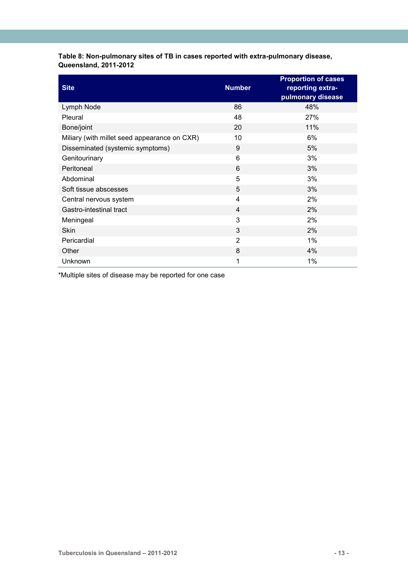#### <span id="page-17-0"></span>**Table 8: Non-pulmonary sites of TB in cases reported with extra-pulmonary disease, Queensland, 2011-2012**

| <b>Site</b>                                  | <b>Number</b>  | <b>Proportion of cases</b><br>reporting extra-<br>pulmonary disease |
|----------------------------------------------|----------------|---------------------------------------------------------------------|
| Lymph Node                                   | 86             | 48%                                                                 |
| Pleural                                      | 48             | 27%                                                                 |
| Bone/joint                                   | 20             | 11%                                                                 |
| Miliary (with millet seed appearance on CXR) | 10             | 6%                                                                  |
| Disseminated (systemic symptoms)             | 9              | 5%                                                                  |
| Genitourinary                                | 6              | 3%                                                                  |
| Peritoneal                                   | 6              | 3%                                                                  |
| Abdominal                                    | 5              | 3%                                                                  |
| Soft tissue abscesses                        | 5              | 3%                                                                  |
| Central nervous system                       | $\overline{4}$ | 2%                                                                  |
| Gastro-intestinal tract                      | $\overline{4}$ | 2%                                                                  |
| Meningeal                                    | 3              | 2%                                                                  |
| <b>Skin</b>                                  | 3              | 2%                                                                  |
| Pericardial                                  | 2              | $1\%$                                                               |
| Other                                        | 8              | 4%                                                                  |
| Unknown                                      | 1              | 1%                                                                  |

\*Multiple sites of disease may be reported for one case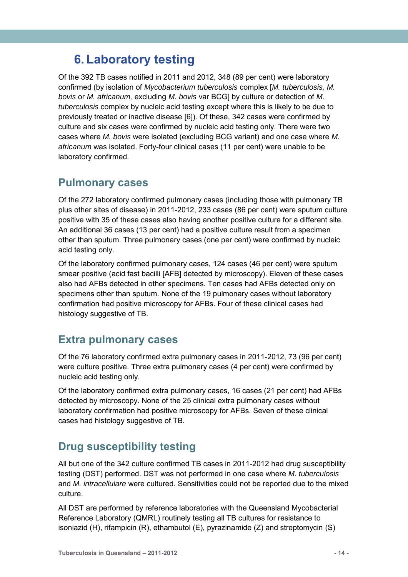## <span id="page-18-0"></span>**6. Laboratory testing**

Of the 392 TB cases notified in 2011 and 2012, 348 (89 per cent) were laboratory confirmed (by isolation of *Mycobacterium tuberculosis* complex [*M. tuberculosis, M. bovis* or *M. africanum,* excluding *M. bovis* var BCG] by culture or detection of *M. tuberculosis* complex by nucleic acid testing except where this is likely to be due to previously treated or inactive disease [6]). Of these, 342 cases were confirmed by culture and six cases were confirmed by nucleic acid testing only. There were two cases where *M. bovis* were isolated (excluding BCG variant) and one case where *M. africanum* was isolated. Forty-four clinical cases (11 per cent) were unable to be laboratory confirmed.

### <span id="page-18-1"></span>**Pulmonary cases**

Of the 272 laboratory confirmed pulmonary cases (including those with pulmonary TB plus other sites of disease) in 2011-2012, 233 cases (86 per cent) were sputum culture positive with 35 of these cases also having another positive culture for a different site. An additional 36 cases (13 per cent) had a positive culture result from a specimen other than sputum. Three pulmonary cases (one per cent) were confirmed by nucleic acid testing only.

Of the laboratory confirmed pulmonary cases, 124 cases (46 per cent) were sputum smear positive (acid fast bacilli [AFB] detected by microscopy). Eleven of these cases also had AFBs detected in other specimens. Ten cases had AFBs detected only on specimens other than sputum. None of the 19 pulmonary cases without laboratory confirmation had positive microscopy for AFBs. Four of these clinical cases had histology suggestive of TB.

### <span id="page-18-2"></span>**Extra pulmonary cases**

Of the 76 laboratory confirmed extra pulmonary cases in 2011-2012, 73 (96 per cent) were culture positive. Three extra pulmonary cases (4 per cent) were confirmed by nucleic acid testing only.

Of the laboratory confirmed extra pulmonary cases, 16 cases (21 per cent) had AFBs detected by microscopy. None of the 25 clinical extra pulmonary cases without laboratory confirmation had positive microscopy for AFBs. Seven of these clinical cases had histology suggestive of TB.

## <span id="page-18-3"></span>**Drug susceptibility testing**

All but one of the 342 culture confirmed TB cases in 2011-2012 had drug susceptibility testing (DST) performed. DST was not performed in one case where *M. tuberculosis* and *M. intracellulare* were cultured. Sensitivities could not be reported due to the mixed culture.

All DST are performed by reference laboratories with the Queensland Mycobacterial Reference Laboratory (QMRL) routinely testing all TB cultures for resistance to isoniazid (H), rifampicin (R), ethambutol (E), pyrazinamide (Z) and streptomycin (S)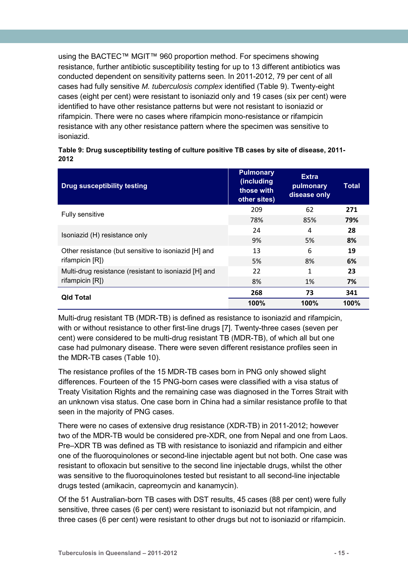using the BACTEC™ MGIT™ 960 proportion method. For specimens showing resistance, further antibiotic susceptibility testing for up to 13 different antibiotics was conducted dependent on sensitivity patterns seen. In 2011-2012, 79 per cent of all cases had fully sensitive *M. tuberculosis complex* identified (Table 9). Twenty-eight cases (eight per cent) were resistant to isoniazid only and 19 cases (six per cent) were identified to have other resistance patterns but were not resistant to isoniazid or rifampicin. There were no cases where rifampicin mono-resistance or rifampicin resistance with any other resistance pattern where the specimen was sensitive to isoniazid.

| <b>Drug susceptibility testing</b>                    | <b>Pulmonary</b><br>(including<br>those with<br>other sites) | <b>Extra</b><br>pulmonary<br>disease only | Total |
|-------------------------------------------------------|--------------------------------------------------------------|-------------------------------------------|-------|
| Fully sensitive                                       | 209                                                          | 62                                        | 271   |
|                                                       | 78%                                                          | 85%                                       | 79%   |
| Isoniazid (H) resistance only                         | 24                                                           | 4                                         | 28    |
|                                                       | 9%                                                           | 5%                                        | 8%    |
| Other resistance (but sensitive to isoniazid [H] and  | 13                                                           | 6                                         | 19    |
| rifampicin [R])                                       | 5%                                                           | 8%                                        | 6%    |
| Multi-drug resistance (resistant to isoniazid [H] and | 22                                                           | 1                                         | 23    |
| rifampicin $[R$ ])                                    | 8%                                                           | 1%                                        | 7%    |
| <b>Qld Total</b>                                      | 268                                                          | 73                                        | 341   |
|                                                       | 100%                                                         | 100%                                      | 100%  |

<span id="page-19-0"></span>

| Table 9: Drug susceptibility testing of culture positive TB cases by site of disease, 2011- |  |
|---------------------------------------------------------------------------------------------|--|
| 2012                                                                                        |  |

Multi-drug resistant TB (MDR-TB) is defined as resistance to isoniazid and rifampicin, with or without resistance to other first-line drugs [7]. Twenty-three cases (seven per cent) were considered to be multi-drug resistant TB (MDR-TB), of which all but one case had pulmonary disease. There were seven different resistance profiles seen in the MDR-TB cases (Table 10).

The resistance profiles of the 15 MDR-TB cases born in PNG only showed slight differences. Fourteen of the 15 PNG-born cases were classified with a visa status of Treaty Visitation Rights and the remaining case was diagnosed in the Torres Strait with an unknown visa status. One case born in China had a similar resistance profile to that seen in the majority of PNG cases.

There were no cases of extensive drug resistance (XDR-TB) in 2011-2012; however two of the MDR-TB would be considered pre-XDR, one from Nepal and one from Laos. Pre–XDR TB was defined as TB with resistance to isoniazid and rifampicin and either one of the fluoroquinolones or second-line injectable agent but not both. One case was resistant to ofloxacin but sensitive to the second line injectable drugs, whilst the other was sensitive to the fluoroquinolones tested but resistant to all second-line injectable drugs tested (amikacin, capreomycin and kanamycin).

Of the 51 Australian-born TB cases with DST results, 45 cases (88 per cent) were fully sensitive, three cases (6 per cent) were resistant to isoniazid but not rifampicin, and three cases (6 per cent) were resistant to other drugs but not to isoniazid or rifampicin.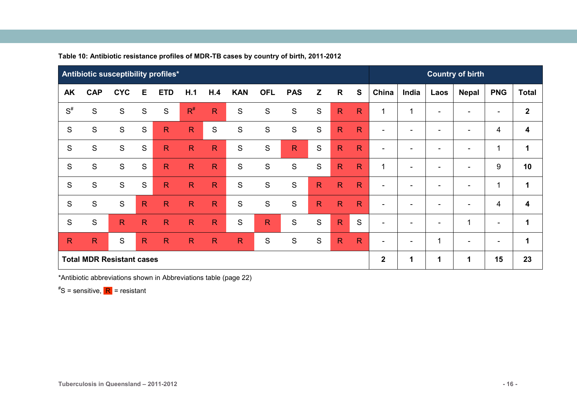|              |               | Antibiotic susceptibility profiles* |               |              |              |               |               |                         |              |               |              |              |                          |                              |                          | <b>Country of birth</b>  |                          |                         |
|--------------|---------------|-------------------------------------|---------------|--------------|--------------|---------------|---------------|-------------------------|--------------|---------------|--------------|--------------|--------------------------|------------------------------|--------------------------|--------------------------|--------------------------|-------------------------|
| <b>AK</b>    | <b>CAP</b>    | <b>CYC</b>                          | Е             | <b>ETD</b>   | H.1          | H.4           | <b>KAN</b>    | <b>OFL</b>              | <b>PAS</b>   | Z             | $\mathsf{R}$ | S            | China                    | India                        | Laos                     | <b>Nepal</b>             | <b>PNG</b>               | <b>Total</b>            |
| $S^{\#}$     | $\mathbf S$   | S                                   | S             | S            | $R^{\#}$     | $\mathsf{R}$  | ${\mathsf S}$ | S                       | $\mathbf S$  | S             | $\mathsf{R}$ | $\mathsf{R}$ | $\mathbf{1}$             | 1                            | $\overline{\phantom{0}}$ |                          | $\overline{\phantom{0}}$ | $\overline{2}$          |
| S            | ${\mathsf S}$ | ${\mathsf S}$                       | ${\mathsf S}$ | $\mathsf{R}$ | $\mathsf{R}$ | ${\mathsf S}$ | S             | ${\mathsf S}$           | S            | ${\mathsf S}$ | $\mathsf{R}$ | $\mathsf{R}$ | $\overline{\phantom{a}}$ | $\qquad \qquad \blacksquare$ | $\overline{\phantom{0}}$ |                          | 4                        | 4                       |
| S            | $\mathsf{S}$  | S                                   | S             | $\mathsf{R}$ | $\mathsf{R}$ | $\mathsf{R}$  | $\mathbf S$   | $\mathsf{S}$            | $\mathsf{R}$ | S             | $\mathsf{R}$ | $\mathsf{R}$ | $\blacksquare$           | $\overline{\phantom{a}}$     | $\overline{\phantom{0}}$ | $\overline{\phantom{0}}$ | 1                        | 1                       |
| S            | S             | S                                   | S             | $\mathsf{R}$ | $\mathsf{R}$ | $\mathsf{R}$  | $\mathbf S$   | ${\mathsf S}$           | $\mathbf S$  | S             | $\mathsf{R}$ | $\mathsf{R}$ | 1                        | $\overline{\phantom{a}}$     | $\blacksquare$           |                          | 9                        | 10                      |
| S            | $\mathbf S$   | S                                   | S             | $\mathsf{R}$ | $\mathsf{R}$ | $\mathsf{R}$  | ${\mathsf S}$ | S                       | $\mathbf S$  | $\mathsf{R}$  | $\mathsf{R}$ | $\mathsf{R}$ | $\overline{\phantom{a}}$ | $\overline{\phantom{a}}$     | $\overline{\phantom{0}}$ |                          | 1                        | 1                       |
| S            | $\mathbf S$   | S                                   | $\mathsf{R}$  | $\mathsf{R}$ | $\mathsf{R}$ | $\mathsf{R}$  | S             | $\mathbf S$             | $\mathbf S$  | $\mathsf{R}$  | $\mathsf{R}$ | $\mathsf{R}$ | $\overline{\phantom{a}}$ | $\overline{\phantom{a}}$     | $\overline{\phantom{0}}$ |                          | 4                        | $\overline{\mathbf{4}}$ |
| S            | $\mathbf S$   | $\mathsf{R}$                        | $\mathsf{R}$  | $\mathsf{R}$ | $\mathsf{R}$ | $\mathsf{R}$  | S             | $\overline{\mathsf{R}}$ | $\mathbf S$  | S             | $\mathsf{R}$ | S            | $\overline{\phantom{a}}$ | $\blacksquare$               | $\blacksquare$           | 1                        | $\overline{\phantom{a}}$ | 1                       |
| $\mathsf{R}$ | $\mathsf{R}$  | S                                   | $\mathsf{R}$  | $\mathsf{R}$ | $\mathsf{R}$ | $\mathsf{R}$  | $\mathsf{R}$  | ${\mathsf S}$           | $\mathbf S$  | S             | $\mathsf{R}$ | $\mathsf{R}$ | $\overline{\phantom{a}}$ | $\overline{\phantom{a}}$     | $\mathbf{1}$             | $\overline{\phantom{0}}$ | ۰.                       | $\mathbf 1$             |
|              |               | <b>Total MDR Resistant cases</b>    |               |              |              |               |               |                         |              |               |              |              | $\mathbf{2}$             | 1                            | 1                        | 1                        | 15                       | 23                      |

**Table 10: Antibiotic resistance profiles of MDR-TB cases by country of birth, 2011-2012** 

<span id="page-20-0"></span>\*Antibiotic abbreviations shown in Abbreviations table (page 22)

# S = sensitive, R = resistant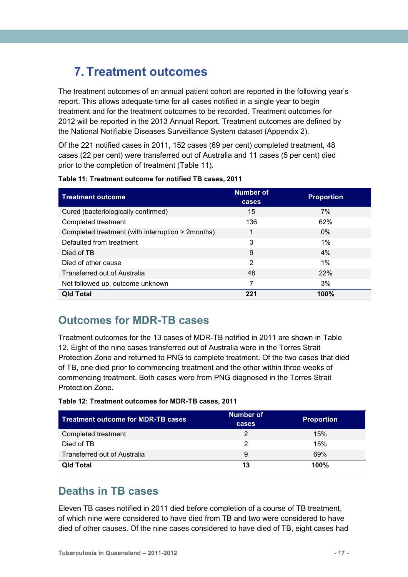## <span id="page-21-0"></span>**7. Treatment outcomes**

The treatment outcomes of an annual patient cohort are reported in the following year's report. This allows adequate time for all cases notified in a single year to begin treatment and for the treatment outcomes to be recorded. Treatment outcomes for 2012 will be reported in the 2013 Annual Report. Treatment outcomes are defined by the National Notifiable Diseases Surveillance System dataset (Appendix 2).

Of the 221 notified cases in 2011, 152 cases (69 per cent) completed treatment, 48 cases (22 per cent) were transferred out of Australia and 11 cases (5 per cent) died prior to the completion of treatment (Table 11).

| <b>Treatment outcome</b>                          | <b>Number of</b><br>cases | <b>Proportion</b> |
|---------------------------------------------------|---------------------------|-------------------|
| Cured (bacteriologically confirmed)               | 15                        | 7%                |
| Completed treatment                               | 136                       | 62%               |
| Completed treatment (with interruption > 2months) | 1                         | $0\%$             |
| Defaulted from treatment                          | 3                         | $1\%$             |
| Died of TB                                        | 9                         | 4%                |
| Died of other cause                               | 2                         | $1\%$             |
| Transferred out of Australia                      | 48                        | <b>22%</b>        |
| Not followed up, outcome unknown                  | 7                         | 3%                |
| <b>Qld Total</b>                                  | 221                       | 100%              |

<span id="page-21-3"></span>

### <span id="page-21-1"></span>**Outcomes for MDR-TB cases**

Treatment outcomes for the 13 cases of MDR-TB notified in 2011 are shown in Table 12. Eight of the nine cases transferred out of Australia were in the Torres Strait Protection Zone and returned to PNG to complete treatment. Of the two cases that died of TB, one died prior to commencing treatment and the other within three weeks of commencing treatment. Both cases were from PNG diagnosed in the Torres Strait Protection Zone.

<span id="page-21-4"></span>

|  |  |  | Table 12: Treatment outcomes for MDR-TB cases, 2011 |  |
|--|--|--|-----------------------------------------------------|--|
|--|--|--|-----------------------------------------------------|--|

| <b>Treatment outcome for MDR-TB cases</b> | Number of<br>cases | <b>Proportion</b> |
|-------------------------------------------|--------------------|-------------------|
| Completed treatment                       | 2                  | 15%               |
| Died of TB                                | っ                  | 15%               |
| Transferred out of Australia              | 9                  | 69%               |
| <b>Qld Total</b>                          | 13                 | 100%              |

### <span id="page-21-2"></span>**Deaths in TB cases**

Eleven TB cases notified in 2011 died before completion of a course of TB treatment, of which nine were considered to have died from TB and two were considered to have died of other causes. Of the nine cases considered to have died of TB, eight cases had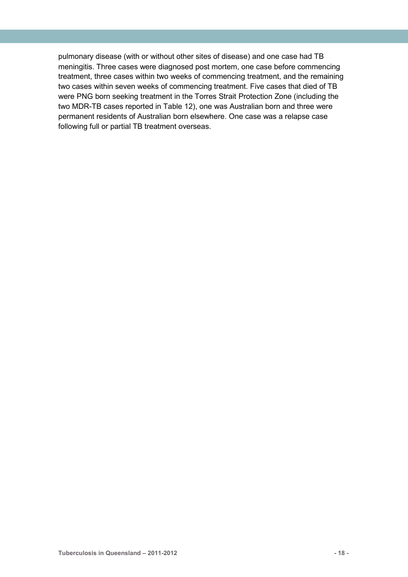pulmonary disease (with or without other sites of disease) and one case had TB meningitis. Three cases were diagnosed post mortem, one case before commencing treatment, three cases within two weeks of commencing treatment, and the remaining two cases within seven weeks of commencing treatment. Five cases that died of TB were PNG born seeking treatment in the Torres Strait Protection Zone (including the two MDR-TB cases reported in Table 12), one was Australian born and three were permanent residents of Australian born elsewhere. One case was a relapse case following full or partial TB treatment overseas.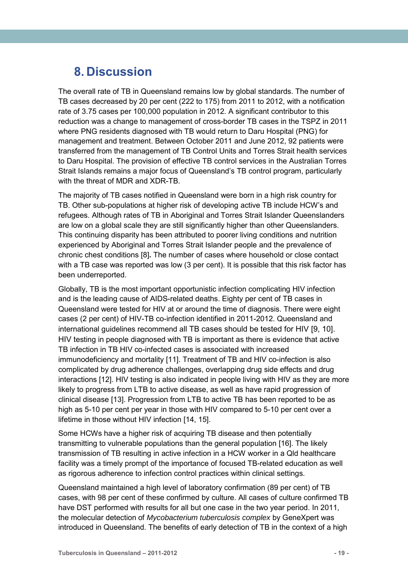## <span id="page-23-0"></span>**8. Discussion**

The overall rate of TB in Queensland remains low by global standards. The number of TB cases decreased by 20 per cent (222 to 175) from 2011 to 2012, with a notification rate of 3.75 cases per 100,000 population in 2012. A significant contributor to this reduction was a change to management of cross-border TB cases in the TSPZ in 2011 where PNG residents diagnosed with TB would return to Daru Hospital (PNG) for management and treatment. Between October 2011 and June 2012, 92 patients were transferred from the management of TB Control Units and Torres Strait health services to Daru Hospital. The provision of effective TB control services in the Australian Torres Strait Islands remains a major focus of Queensland's TB control program, particularly with the threat of MDR and XDR-TB.

The majority of TB cases notified in Queensland were born in a high risk country for TB. Other sub-populations at higher risk of developing active TB include HCW's and refugees. Although rates of TB in Aboriginal and Torres Strait Islander Queenslanders are low on a global scale they are still significantly higher than other Queenslanders. This continuing disparity has been attributed to poorer living conditions and nutrition experienced by Aboriginal and Torres Strait Islander people and the prevalence of chronic chest conditions [8]**.** The number of cases where household or close contact with a TB case was reported was low (3 per cent). It is possible that this risk factor has been underreported.

Globally, TB is the most important opportunistic infection complicating HIV infection and is the leading cause of AIDS-related deaths. Eighty per cent of TB cases in Queensland were tested for HIV at or around the time of diagnosis. There were eight cases (2 per cent) of HIV-TB co-infection identified in 2011-2012. Queensland and international guidelines recommend all TB cases should be tested for HIV [9, 10]. HIV testing in people diagnosed with TB is important as there is evidence that active TB infection in TB HIV co-infected cases is associated with increased immunodeficiency and mortality [11]. Treatment of TB and HIV co-infection is also complicated by drug adherence challenges, overlapping drug side effects and drug interactions [12]. HIV testing is also indicated in people living with HIV as they are more likely to progress from LTB to active disease, as well as have rapid progression of clinical disease [13]. Progression from LTB to active TB has been reported to be as high as 5-10 per cent per year in those with HIV compared to 5-10 per cent over a lifetime in those without HIV infection [14, 15].

Some HCWs have a higher risk of acquiring TB disease and then potentially transmitting to vulnerable populations than the general population [16]. The likely transmission of TB resulting in active infection in a HCW worker in a Qld healthcare facility was a timely prompt of the importance of focused TB-related education as well as rigorous adherence to infection control practices within clinical settings.

Queensland maintained a high level of laboratory confirmation (89 per cent) of TB cases, with 98 per cent of these confirmed by culture. All cases of culture confirmed TB have DST performed with results for all but one case in the two year period. In 2011, the molecular detection of *Mycobacterium tuberculosis complex* by GeneXpert was introduced in Queensland. The benefits of early detection of TB in the context of a high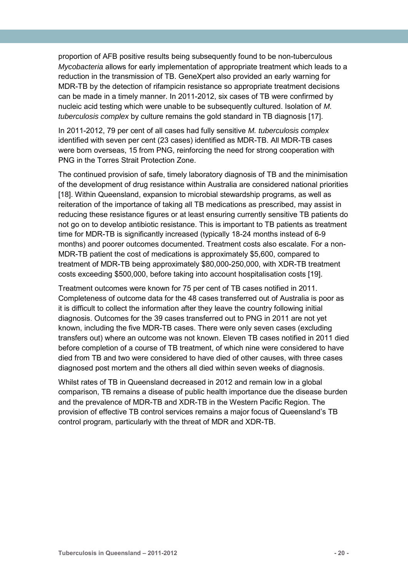proportion of AFB positive results being subsequently found to be non-tuberculous *Mycobacteria* allows for early implementation of appropriate treatment which leads to a reduction in the transmission of TB. GeneXpert also provided an early warning for MDR-TB by the detection of rifampicin resistance so appropriate treatment decisions can be made in a timely manner. In 2011-2012, six cases of TB were confirmed by nucleic acid testing which were unable to be subsequently cultured. Isolation of *M. tuberculosis complex* by culture remains the gold standard in TB diagnosis [17].

In 2011-2012, 79 per cent of all cases had fully sensitive *M. tuberculosis complex* identified with seven per cent (23 cases) identified as MDR-TB. All MDR-TB cases were born overseas, 15 from PNG, reinforcing the need for strong cooperation with PNG in the Torres Strait Protection Zone.

The continued provision of safe, timely laboratory diagnosis of TB and the minimisation of the development of drug resistance within Australia are considered national priorities [18]. Within Queensland, expansion to microbial stewardship programs, as well as reiteration of the importance of taking all TB medications as prescribed, may assist in reducing these resistance figures or at least ensuring currently sensitive TB patients do not go on to develop antibiotic resistance. This is important to TB patients as treatment time for MDR-TB is significantly increased (typically 18-24 months instead of 6-9 months) and poorer outcomes documented. Treatment costs also escalate. For a non-MDR-TB patient the cost of medications is approximately \$5,600, compared to treatment of MDR-TB being approximately \$80,000-250,000, with XDR-TB treatment costs exceeding \$500,000, before taking into account hospitalisation costs [19].

Treatment outcomes were known for 75 per cent of TB cases notified in 2011. Completeness of outcome data for the 48 cases transferred out of Australia is poor as it is difficult to collect the information after they leave the country following initial diagnosis. Outcomes for the 39 cases transferred out to PNG in 2011 are not yet known, including the five MDR-TB cases. There were only seven cases (excluding transfers out) where an outcome was not known. Eleven TB cases notified in 2011 died before completion of a course of TB treatment, of which nine were considered to have died from TB and two were considered to have died of other causes, with three cases diagnosed post mortem and the others all died within seven weeks of diagnosis.

Whilst rates of TB in Queensland decreased in 2012 and remain low in a global comparison, TB remains a disease of public health importance due the disease burden and the prevalence of MDR-TB and XDR-TB in the Western Pacific Region. The provision of effective TB control services remains a major focus of Queensland's TB control program, particularly with the threat of MDR and XDR-TB.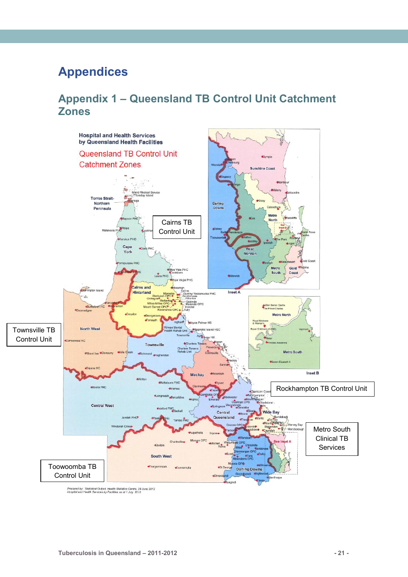## <span id="page-25-0"></span>**Appendices**

### <span id="page-25-1"></span>**Appendix 1 – Queensland TB Control Unit Catchment Zones**



Prepared by: Statistical Output, Health Statistics Centre, 28 June 2012<br>Hospital and Health Services by Facilities as at 1 July 2012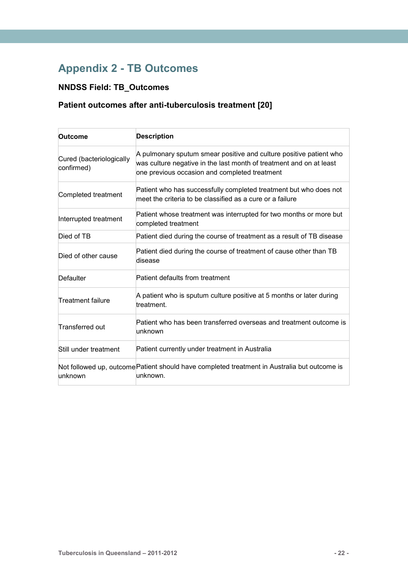## <span id="page-26-0"></span>**Appendix 2 - TB Outcomes**

### **NNDSS Field: TB\_Outcomes**

### **Patient outcomes after anti-tuberculosis treatment [20]**

| Outcome                                | <b>Description</b>                                                                                                                                                                         |
|----------------------------------------|--------------------------------------------------------------------------------------------------------------------------------------------------------------------------------------------|
| Cured (bacteriologically<br>confirmed) | A pulmonary sputum smear positive and culture positive patient who<br>was culture negative in the last month of treatment and on at least<br>one previous occasion and completed treatment |
| Completed treatment                    | Patient who has successfully completed treatment but who does not<br>meet the criteria to be classified as a cure or a failure                                                             |
| Interrupted treatment                  | Patient whose treatment was interrupted for two months or more but<br>completed treatment                                                                                                  |
| Died of TB                             | Patient died during the course of treatment as a result of TB disease                                                                                                                      |
| Died of other cause                    | Patient died during the course of treatment of cause other than TB<br>disease                                                                                                              |
| Defaulter                              | Patient defaults from treatment                                                                                                                                                            |
| Treatment failure                      | A patient who is sputum culture positive at 5 months or later during<br>treatment.                                                                                                         |
| Transferred out                        | Patient who has been transferred overseas and treatment outcome is<br>unknown                                                                                                              |
| Still under treatment                  | Patient currently under treatment in Australia                                                                                                                                             |
| unknown                                | Not followed up, outcome Patient should have completed treatment in Australia but outcome is<br>unknown.                                                                                   |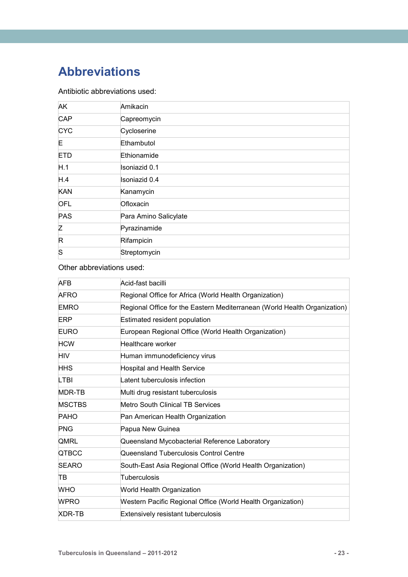## <span id="page-27-0"></span>**Abbreviations**

#### Antibiotic abbreviations used:

| <b>AK</b>  | Amikacin              |
|------------|-----------------------|
| <b>CAP</b> | Capreomycin           |
| <b>CYC</b> | Cycloserine           |
| E.         | Ethambutol            |
| <b>ETD</b> | Ethionamide           |
| H.1        | Isoniazid 0.1         |
| H.4        | Isoniazid 0.4         |
| <b>KAN</b> | Kanamycin             |
| <b>OFL</b> | Ofloxacin             |
| PAS        | Para Amino Salicylate |
| Z          | Pyrazinamide          |
| R          | Rifampicin            |
| lS         | Streptomycin          |

#### Other abbreviations used:

| <b>AFB</b>    | Acid-fast bacilli                                                         |
|---------------|---------------------------------------------------------------------------|
| <b>AFRO</b>   | Regional Office for Africa (World Health Organization)                    |
| <b>EMRO</b>   | Regional Office for the Eastern Mediterranean (World Health Organization) |
| ERP           | Estimated resident population                                             |
| <b>EURO</b>   | European Regional Office (World Health Organization)                      |
| <b>HCW</b>    | Healthcare worker                                                         |
| <b>HIV</b>    | Human immunodeficiency virus                                              |
| <b>HHS</b>    | <b>Hospital and Health Service</b>                                        |
| <b>LTBI</b>   | Latent tuberculosis infection                                             |
| MDR-TB        | Multi drug resistant tuberculosis                                         |
| <b>MSCTBS</b> | Metro South Clinical TB Services                                          |
| <b>PAHO</b>   | Pan American Health Organization                                          |
| <b>PNG</b>    | Papua New Guinea                                                          |
| <b>QMRL</b>   | Queensland Mycobacterial Reference Laboratory                             |
| <b>QTBCC</b>  | Queensland Tuberculosis Control Centre                                    |
| <b>SEARO</b>  | South-East Asia Regional Office (World Health Organization)               |
| TB            | Tuberculosis                                                              |
| <b>WHO</b>    | World Health Organization                                                 |
| <b>WPRO</b>   | Western Pacific Regional Office (World Health Organization)               |
| XDR-TB        | <b>Extensively resistant tuberculosis</b>                                 |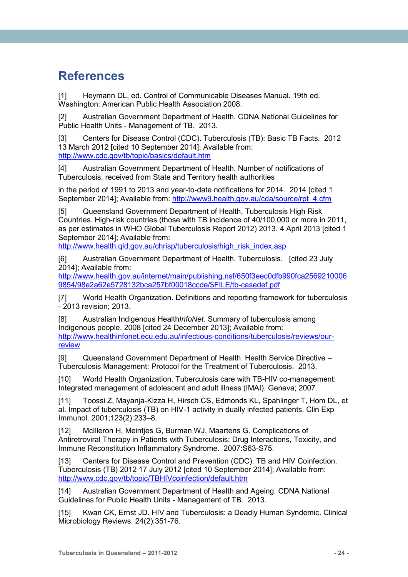## <span id="page-28-0"></span>**References**

[1] Heymann DL, ed. Control of Communicable Diseases Manual. 19th ed. Washington: American Public Health Association 2008.

[2] Australian Government Department of Health. CDNA National Guidelines for Public Health Units - Management of TB. 2013.

[3] Centers for Disease Control (CDC). Tuberculosis (TB): Basic TB Facts. 2012 13 March 2012 [cited 10 September 2014]; Available from: <http://www.cdc.gov/tb/topic/basics/default.htm>

[4] Australian Government Department of Health. Number of notifications of Tuberculosis, received from State and Territory health authorities

in the period of 1991 to 2013 and year-to-date notifications for 2014. 2014 [cited 1 September 2014]; Available from: [http://www9.health.gov.au/cda/source/rpt\\_4.cfm](http://www9.health.gov.au/cda/source/rpt_4.cfm)

[5] Queensland Government Department of Health. Tuberculosis High Risk Countries. High-risk countries (those with TB incidence of 40/100,000 or more in 2011, as per estimates in WHO Global Tuberculosis Report 2012) 2013. 4 April 2013 [cited 1 September 2014]; Available from:

http://www.health.gld.gov.au/chrisp/tuberculosis/high\_risk\_index.asp

[6] Australian Government Department of Health. Tuberculosis. [cited 23 July 2014]; Available from:

[http://www.health.gov.au/internet/main/publishing.nsf/650f3eec0dfb990fca2569210006](http://www.health.gov.au/internet/main/publishing.nsf/650f3eec0dfb990fca25692100069854/98e2a62e5728132bca257bf00018ccde/$FILE/tb-casedef.pdf) [9854/98e2a62e5728132bca257bf00018ccde/\\$FILE/tb-casedef.pdf](http://www.health.gov.au/internet/main/publishing.nsf/650f3eec0dfb990fca25692100069854/98e2a62e5728132bca257bf00018ccde/$FILE/tb-casedef.pdf)

[7] World Health Organization. Definitions and reporting framework for tuberculosis - 2013 revision; 2013.

[8] Australian Indigenous Health*InfoNet*. Summary of tuberculosis among Indigenous people. 2008 [cited 24 December 2013]; Available from: [http://www.healthinfonet.ecu.edu.au/infectious-conditions/tuberculosis/reviews/our](http://www.healthinfonet.ecu.edu.au/infectious-conditions/tuberculosis/reviews/our-review)[review](http://www.healthinfonet.ecu.edu.au/infectious-conditions/tuberculosis/reviews/our-review)

[9] Queensland Government Department of Health. Health Service Directive – Tuberculosis Management: Protocol for the Treatment of Tuberculosis. 2013.

[10] World Health Organization. Tuberculosis care with TB-HIV co-management: Integrated management of adolescent and adult illness (IMAI). Geneva; 2007.

[11] Toossi Z, Mayanja-Kizza H, Hirsch CS, Edmonds KL, Spahlinger T, Hom DL, et al. Impact of tuberculosis (TB) on HIV-1 activity in dually infected patients. Clin Exp Immunol. 2001;123(2):233–8.

[12] McIlleron H, Meintjes G, Burman WJ, Maartens G. Complications of Antiretroviral Therapy in Patients with Tuberculosis: Drug Interactions, Toxicity, and Immune Reconstitution Inflammatory Syndrome. 2007:S63-S75.

[13] Centers for Disease Control and Prevention (CDC). TB and HIV Coinfection. Tuberculosis (TB) 2012 17 July 2012 [cited 10 September 2014]; Available from: <http://www.cdc.gov/tb/topic/TBHIVcoinfection/default.htm>

[14] Australian Government Department of Health and Ageing. CDNA National Guidelines for Public Health Units - Management of TB. 2013.

[15] Kwan CK, Ernst JD. HIV and Tuberculosis: a Deadly Human Syndemic. Clinical Microbiology Reviews. 24(2):351-76.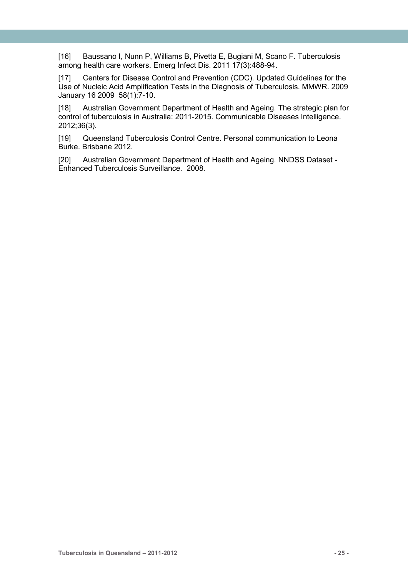[16] Baussano I, Nunn P, Williams B, Pivetta E, Bugiani M, Scano F. Tuberculosis among health care workers. Emerg Infect Dis. 2011 17(3):488-94.

[17] Centers for Disease Control and Prevention (CDC). Updated Guidelines for the Use of Nucleic Acid Amplification Tests in the Diagnosis of Tuberculosis. MMWR. 2009 January 16 2009 58(1):7-10.

[18] Australian Government Department of Health and Ageing. The strategic plan for control of tuberculosis in Australia: 2011-2015. Communicable Diseases Intelligence. 2012;36(3).

[19] Queensland Tuberculosis Control Centre. Personal communication to Leona Burke. Brisbane 2012.

[20] Australian Government Department of Health and Ageing. NNDSS Dataset - Enhanced Tuberculosis Surveillance. 2008.